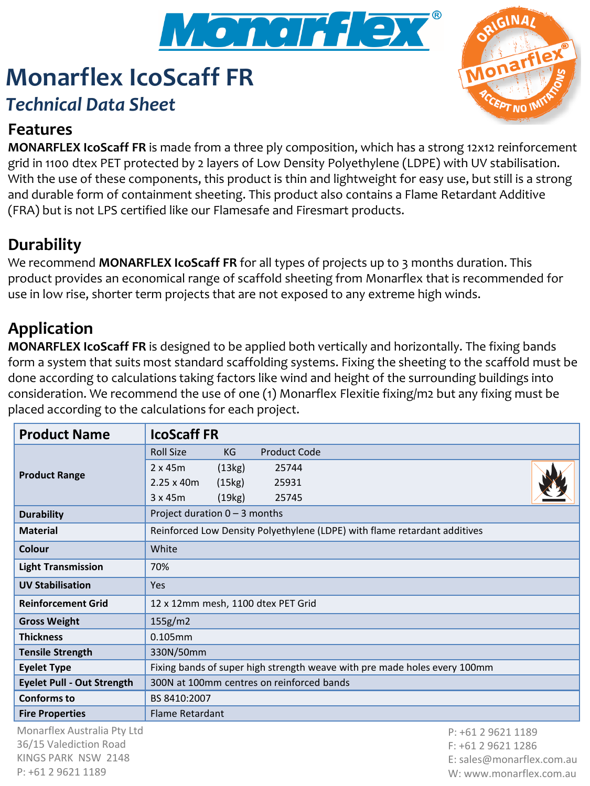

# **Monarflex IcoScaff FR** *Technical Data Sheet*



#### **Features**

**MONARFLEX IcoScaff FR** is made from a three ply composition, which has a strong 12x12 reinforcement grid in 1100 dtex PET protected by 2 layers of Low Density Polyethylene (LDPE) with UV stabilisation. With the use of these components, this product is thin and lightweight for easy use, but still is a strong and durable form of containment sheeting. This product also contains a Flame Retardant Additive (FRA) but is not LPS certified like our Flamesafe and Firesmart products.

### **Durability**

We recommend **MONARFLEX IcoScaff FR** for all types of projects up to 3 months duration. This product provides an economical range of scaffold sheeting from Monarflex that is recommended for use in low rise, shorter term projects that are not exposed to any extreme high winds.

### **Application**

**MONARFLEX IcoScaff FR** is designed to be applied both vertically and horizontally. The fixing bands form a system that suits most standard scaffolding systems. Fixing the sheeting to the scaffold must be done according to calculations taking factors like wind and height of the surrounding buildings into consideration. We recommend the use of one (1) Monarflex Flexitie fixing/m2 but any fixing must be placed according to the calculations for each project.

| <b>Product Name</b>               | <b>IcoScaff FR</b>                                                        |
|-----------------------------------|---------------------------------------------------------------------------|
| <b>Product Range</b>              | <b>Roll Size</b><br><b>Product Code</b><br>KG                             |
|                                   | (13kg)<br>$2 \times 45m$<br>25744                                         |
|                                   | (15kg)<br>$2.25 \times 40m$<br>25931                                      |
|                                   | 3x45m<br>(19kg)<br>25745                                                  |
| <b>Durability</b>                 | Project duration $0 - 3$ months                                           |
| <b>Material</b>                   | Reinforced Low Density Polyethylene (LDPE) with flame retardant additives |
| Colour                            | White                                                                     |
| <b>Light Transmission</b>         | 70%                                                                       |
| <b>UV Stabilisation</b>           | <b>Yes</b>                                                                |
| <b>Reinforcement Grid</b>         | 12 x 12mm mesh, 1100 dtex PET Grid                                        |
| <b>Gross Weight</b>               | 155g/m2                                                                   |
| <b>Thickness</b>                  | $0.105$ mm                                                                |
| <b>Tensile Strength</b>           | 330N/50mm                                                                 |
| <b>Eyelet Type</b>                | Fixing bands of super high strength weave with pre made holes every 100mm |
| <b>Eyelet Pull - Out Strength</b> | 300N at 100mm centres on reinforced bands                                 |
| <b>Conforms to</b>                | BS 8410:2007                                                              |
| <b>Fire Properties</b>            | Flame Retardant                                                           |
| Monarflex Australia Pty Ltd       | P: +61 2 9621 1189                                                        |
| 36/15 Valediction Road            | $\Gamma_1$ , $\Gamma_2$ 1 $\Gamma_3$ 0 $\Gamma_1$ 1 1 1 1 0 $\Gamma$      |

36/15 Valediction Road KINGS PARK NSW 2148 P: +61 2 9621 1189

F: +61 2 9621 1286 E: sales@monarflex.com.au W: www.monarflex.com.au